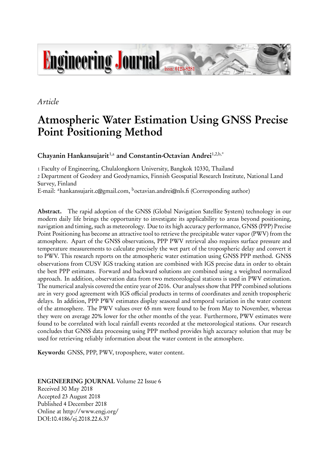

## *Article*

# **Atmospheric Water Estimation Using GNSS Precise Point Positioning Method**

**Chayanin Hankansujarit**1,a **and Constantin-Octavian Andrei**1,2,b,\*

1 Faculty of Engineering, Chulalongkorn University, Bangkok 10330, Thailand 2 Department of Geodesy and Geodynamics, Finnish Geospatial Research Institute, National Land Survey, Finland

E-mail: <sup>a</sup>hankansujarit.c@gmail.com, <sup>b</sup>octavian.andrei@nls.fi (Corresponding author)

**Abstract.** The rapid adoption of the GNSS (Global Navigation Satellite System) technology in our modern daily life brings the opportunity to investigate its applicability to areas beyond positioning, navigation and timing, such as meteorology. Due to its high accuracy performance, GNSS (PPP) Precise Point Positioning has become an attractive tool to retrieve the precipitable water vapor (PWV) from the atmosphere. Apart of the GNSS observations, PPP PWV retrieval also requires surface pressure and temperature measurements to calculate precisely the wet part of the tropospheric delay and convert it to PWV. This research reports on the atmospheric water estimation using GNSS PPP method. GNSS observations from CUSV IGS tracking station are combined with IGS precise data in order to obtain the best PPP estimates. Forward and backward solutions are combined using a weighted normalized approach. In addition, observation data from two meteorological stations is used in PWV estimation. The numerical analysis covered the entire year of 2016. Our analyses show that PPP combined solutions are in very good agreement with IGS official products in terms of coordinates and zenith tropospheric delays. In addition, PPP PWV estimates display seasonal and temporal variation in the water content of the atmosphere. The PWV values over 65 mm were found to be from May to November, whereas they were on average 20% lower for the other months of the year. Furthermore, PWV estimates were found to be correlated with local rainfall events recorded at the meteorological stations. Our research concludes that GNSS data processing using PPP method provides high accuracy solution that may be used for retrieving reliably information about the water content in the atmosphere.

**Keywords:** GNSS, PPP, PWV, troposphere, water content.

**ENGINEERING JOURNAL** Volume 22 Issue 6 Received 30 May 2018 Accepted 23 August 2018 Published 4 December 2018 Online at http://www.engj.org/ DOI:10.4186/ej.2018.22.6.37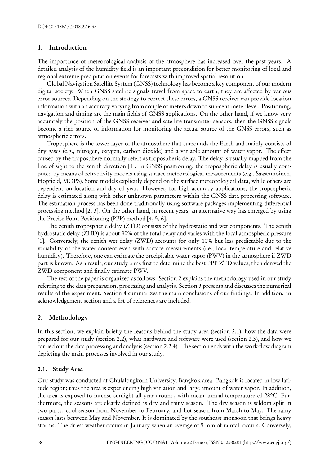#### **1. Introduction**

The importance of meteorological analysis of the atmosphere has increased over the past years. A detailed analysis of the humidity field is an important precondition for better monitoring of local and regional extreme precipitation events for forecasts with improved spatial resolution.

Global Navigation Satellite System (GNSS) technology has become a key component of our modern digital society. When GNSS satellite signals travel from space to earth, they are affected by various error sources. Depending on the strategy to correct these errors, a GNSS receiver can provide location information with an accuracy varying from couple of meters down to sub-centimeter level. Positioning, navigation and timing are the main fields of GNSS applications. On the other hand, if we know very accurately the position of the GNSS receiver and satellite transmitter sensors, then the GNSS signals become a rich source of information for monitoring the actual source of the GNSS errors, such as atmospheric errors.

Troposphere is the lower layer of the atmosphere that surrounds the Earth and mainly consists of dry gases (e.g., nitrogen, oxygen, carbon dioxide) and a variable amount of water vapor. The effect caused by the troposphere normally refers as tropospheric delay. The delay is usually mapped from the line of sight to the zenith direction [1]. In GNSS positioning, the tropospheric delay is usually computed by means of refractivity models using surface meteorological measurements (e.g., Saastamoinen, Hopfield, MOPS). Some models explicitly depend on the surface meteorological data, while others are dependent on location and day of year. However, for high accuracy applications, the tropospheric delay is estimated along with other unknown parameters within the GNSS data processing software. The estimation process has been done traditionally using software packages implementing differential processing method [2, 3]. On the other hand, in recent years, an alternative way has emerged by using the Precise Point Positioning (PPP) method [4, 5, 6].

The zenith tropospheric delay (ZTD) consists of the hydrostatic and wet components. The zenith hydrostatic delay (ZHD) is about 90% of the total delay and varies with the local atmospheric pressure [1]. Conversely, the zenith wet delay (ZWD) accounts for only 10% but less predictable due to the variability of the water content even with surface measurements (i.e., local temperature and relative humidity). Therefore, one can estimate the precipitable water vapor (PWV) in the atmosphere if ZWD part is known. As a result, our study aims first to determine the best PPP ZTD values, then derived the ZWD component and finally estimate PWV.

The rest of the paper is organized as follows. Section 2 explains the methodology used in our study referring to the data preparation, processing and analysis. Section 3 presents and discusses the numerical results of the experiment. Section 4 summarizes the main conclusions of our findings. In addition, an acknowledgement section and a list of references are included.

## **2. Methodology**

In this section, we explain briefly the reasons behind the study area (section 2.1), how the data were prepared for our study (section 2.2), what hardware and software were used (section 2.3), and how we carried out the data processing and analysis (section 2.2.4). The section ends with the work-flow diagram depicting the main processes involved in our study.

## **2.1. Study Area**

Our study was conducted at Chulalongkorn University, Bangkok area. Bangkok is located in low latitude region; thus the area is experiencing high variation and large amount of water vapor. In addition, the area is exposed to intense sunlight all year around, with mean annual temperature of 28°C. Furthermore, the seasons are clearly defined as dry and rainy season. The dry season is seldom split in two parts: cool season from November to February, and hot season from March to May. The rainy season lasts between May and November. It is dominated by the southeast monsoon that brings heavy storms. The driest weather occurs in January when an average of 9 mm of rainfall occurs. Conversely,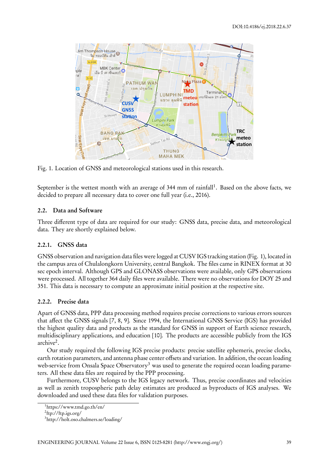

Fig. 1. Location of GNSS and meteorological stations used in this research.

September is the wettest month with an average of 344 mm of rainfall<sup>1</sup>. Based on the above facts, we decided to prepare all necessary data to cover one full year (i.e., 2016).

## **2.2. Data and Software**

Three different type of data are required for our study: GNSS data, precise data, and meteorological data. They are shortly explained below.

## **2.2.1. GNSS data**

GNSS observation and navigation data files were logged at CUSV IGS tracking station (Fig. 1), located in the campus area of Chulalongkorn University, central Bangkok. The files came in RINEX format at 30 sec epoch interval. Although GPS and GLONASS observations were available, only GPS observations were processed. All together 364 daily files were available. There were no observations for DOY 25 and 351. This data is necessary to compute an approximate initial position at the respective site.

## **2.2.2. Precise data**

Apart of GNSS data, PPP data processing method requires precise corrections to various errors sources that affect the GNSS signals [7, 8, 9]. Since 1994, the International GNSS Service (IGS) has provided the highest quality data and products as the standard for GNSS in support of Earth science research, multidisciplinary applications, and education [10]. The products are accessible publicly from the IGS archive<sup>2</sup>.

Our study required the following IGS precise products: precise satellite ephemeris, precise clocks, earth rotation parameters, and antenna phase center offsets and variation. In addition, the ocean loading web-service from Onsala Space Observatory<sup>3</sup> was used to generate the required ocean loading parameters. All these data files are required by the PPP processing.

Furthermore, CUSV belongs to the IGS legacy network. Thus, precise coordinates and velocities as well as zenith tropospheric path delay estimates are produced as byproducts of IGS analyses. We downloaded and used these data files for validation purposes.

<sup>1</sup> https://www.tmd.go.th/en/

<sup>&</sup>lt;sup>2</sup>ftp://ftp.igs.org/

<sup>3</sup> http://holt.oso.chalmers.se/loading/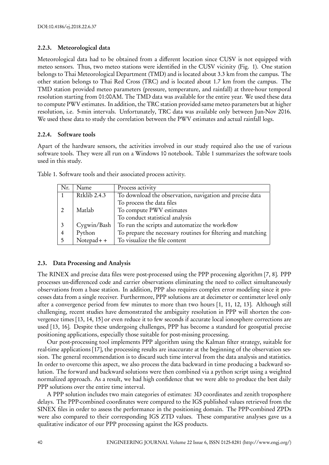## **2.2.3. Meteorological data**

Meteorological data had to be obtained from a different location since CUSV is not equipped with meteo sensors. Thus, two meteo stations were identified in the CUSV vicinity (Fig. 1). One station belongs to Thai Meteorological Department (TMD) and is located about 3.3 km from the campus. The other station belongs to Thai Red Cross (TRC) and is located about 1.7 km from the campus. The TMD station provided meteo parameters (pressure, temperature, and rainfall) at three-hour temporal resolution starting from 01:00AM. The TMD data was available for the entire year. We used these data to compute PWV estimates. In addition, the TRC station provided same meteo parameters but at higher resolution, i.e. 5-min intervals. Unfortunately, TRC data was available only between Jun-Nov 2016. We used these data to study the correlation between the PWV estimates and actual rainfall logs.

## **2.2.4. Software tools**

Apart of the hardware sensors, the activities involved in our study required also the use of various software tools. They were all run on a Windows 10 notebook. Table 1 summarizes the software tools used in this study.

| Nr.            | Name                | Process activity                                             |
|----------------|---------------------|--------------------------------------------------------------|
|                | <b>Rtklib 2.4.3</b> | To download the observation, navigation and precise data     |
|                |                     | To process the data files                                    |
|                | Matlab              | To compute PWV estimates                                     |
|                |                     | To conduct statistical analysis                              |
|                | Cygwin/Bash         | To run the scripts and automatize the work-flow              |
| $\overline{4}$ | Python              | To prepare the necessary routines for filtering and matching |
|                | $Notepad++$         | To visualize the file content                                |

Table 1. Software tools and their associated process activity.

## **2.3. Data Processing and Analysis**

The RINEX and precise data files were post-processed using the PPP processing algorithm [7, 8]. PPP processes un-differenced code and carrier observations eliminating the need to collect simultaneously observations from a base station. In addition, PPP also requires complex error modeling since it processes data from a single receiver. Furthermore, PPP solutions are at decimeter or centimeter level only after a convergence period from few minutes to more than two hours [1, 11, 12, 13]. Although still challenging, recent studies have demonstrated the ambiguity resolution in PPP will shorten the convergence times [13, 14, 15] or even reduce it to few seconds if accurate local ionosphere corrections are used [13, 16]. Despite these undergoing challenges, PPP has become a standard for geospatial precise positioning applications, especially those suitable for post-missing processing.

Our post-processing tool implements PPP algorithm using the Kalman filter strategy, suitable for real-time applications [17], the processing results are inaccurate at the beginning of the observation session. The general recommendation is to discard such time interval from the data analysis and statistics. In order to overcome this aspect, we also process the data backward in time producing a backward solution. The forward and backward solutions were then combined via a python script using a weighted normalized approach. As a result, we had high confidence that we were able to produce the best daily PPP solutions over the entire time interval.

A PPP solution includes two main categories of estimates: 3D coordinates and zenith troposphere delays. The PPP-combined coordinates were compared to the IGS published values retrieved from the SINEX files in order to assess the performance in the positioning domain. The PPP-combined ZPDs were also compared to their corresponding IGS ZTD values. These comparative analyses gave us a qualitative indicator of our PPP processing against the IGS products.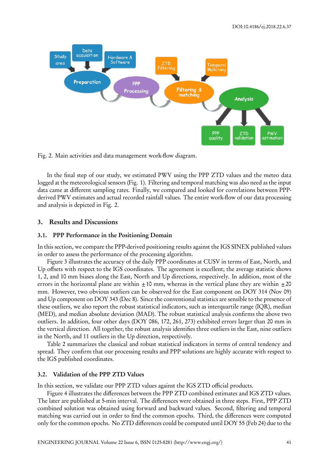



In the final step of our study, we estimated PWV using the PPP ZTD values and the meteo data logged at the meteorological sensors (Fig. 1). Filtering and temporal matching was also need as the input data came at different sampling rates. Finally, we compared and looked for correlations between PPPderived PWV estimates and actual recorded rainfall values. The entire work-flow of our data processing and analysis is depicted in Fig. 2.

#### **3. Results and Discussions**

#### **3.1. PPP Performance in the Positioning Domain**

In this section, we compare the PPP-derived positioning results against the IGS SINEX published values in order to assess the performance of the processing algorithm.

Figure 3 illustrates the accuracy of the daily PPP coordinates at CUSV in terms of East, North, and Up offsets with respect to the IGS coordinates. The agreement is excellent; the average statistic shows 1, 2, and 10 mm biases along the East, North and Up directions, respectively. In addition, most of the errors in the horizontal plane are within  $\pm 10$  mm, whereas in the vertical plane they are within  $\pm 20$ mm. However, two obvious outliers can be observed for the East component on DOY 314 (Nov 09) and Up component on DOY 343 (Dec 8). Since the conventional statistics are sensible to the presence of these outliers, we also report the robust statistical indicators, such as interquartile range (IQR), median (MED), and median absolute deviation (MAD). The robust statistical analysis confirms the above two outliers. In addition, four other days (DOY 086, 172, 261, 273) exhibited errors larger than 20 mm in the vertical direction. All together, the robust analysis identifies three outliers in the East, nine outliers in the North, and 11 outliers in the Up direction, respectively.

Table 2 summarizes the classical and robust statistical indicators in terms of central tendency and spread. They confirm that our processing results and PPP solutions are highly accurate with respect to the IGS published coordinates.

#### **3.2. Validation of the PPP ZTD Values**

In this section, we validate our PPP ZTD values against the IGS ZTD official products.

Figure 4 illustrates the differences between the PPP ZTD combined estimates and IGS ZTD values. The later are published at 5-min interval. The differences were obtained in three steps. First, PPP ZTD combined solution was obtained using forward and backward values. Second, filtering and temporal matching was carried out in order to find the common epochs. Third, the differences were computed only for the common epochs. No ZTD differences could be computed until DOY 55 (Feb 24) due to the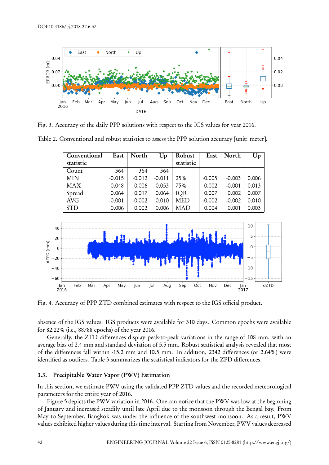

Fig. 3. Accuracy of the daily PPP solutions with respect to the IGS values for year 2016.

| Table 2. Conventional and robust statistics to assess the PPP solution accuracy [unit: meter]. |  |  |  |
|------------------------------------------------------------------------------------------------|--|--|--|
|                                                                                                |  |  |  |

| Conventional | East     | North    | Up       | Robust     | East     | North    | Up    |
|--------------|----------|----------|----------|------------|----------|----------|-------|
| statistic    |          |          |          | statistic  |          |          |       |
| Count        | 364      | 364      | 364      |            |          |          |       |
| <b>MIN</b>   | $-0.015$ | $-0.012$ | $-0.011$ | 25%        | $-0.005$ | $-0.003$ | 0.006 |
| <b>MAX</b>   | 0.048    | 0.006    | 0.053    | 75%        | 0.002    | $-0.001$ | 0.013 |
| Spread       | 0.064    | 0.017    | 0.064    | <b>IOR</b> | 0.007    | 0.002    | 0.007 |
| <b>AVG</b>   | $-0.001$ | $-0.002$ | 0.010    | MED        | $-0.002$ | $-0.002$ | 0.010 |
| <b>STD</b>   | 0.006    | 0.002    | 0.006    | <b>MAD</b> | 0.004    | 0.001    | 0.003 |



Fig. 4. Accuracy of PPP ZTD combined estimates with respect to the IGS official product.

absence of the IGS values. IGS products were available for 310 days. Common epochs were available for 82.22% (i.e., 88788 epochs) of the year 2016.

Generally, the ZTD differences display peak-to-peak variations in the range of 108 mm, with an average bias of 2.4 mm and standard deviation of 5.5 mm. Robust statistical analysis revealed that most of the differences fall within -15.2 mm and 10.5 mm. In addition, 2342 differences (or 2.64%) were identified as outliers. Table 3 summarizes the statistical indicators for the ZPD differences.

#### **3.3. Precipitable Water Vapor (PWV) Estimation**

In this section, we estimate PWV using the validated PPP ZTD values and the recorded meteorological parameters for the entire year of 2016.

Figure 5 depicts the PWV variation in 2016. One can notice that the PWV was low at the beginning of January and increased steadily until late April due to the monsoon through the Bengal bay. From May to September, Bangkok was under the influence of the southwest monsoon. As a result, PWV values exhibited higher values during this time interval. Starting from November, PWV values decreased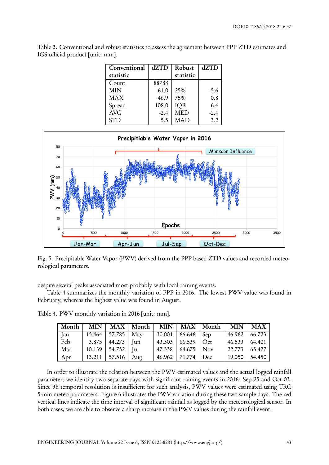| Conventional | dZTD    | Robust     | dZTD   |
|--------------|---------|------------|--------|
| statistic    |         | statistic  |        |
| Count        | 88788   |            |        |
| <b>MIN</b>   | $-61.0$ | 25%        | $-5.6$ |
| <b>MAX</b>   | 46.9    | 75%        | 0.8    |
| Spread       | 108.0   | <b>IQR</b> | 6.4    |
| <b>AVG</b>   | $-2.4$  | <b>MED</b> | $-2.4$ |
| <b>STD</b>   | 5.5     | <b>MAD</b> | 3.2    |

Table 3. Conventional and robust statistics to assess the agreement between PPP ZTD estimates and IGS official product [unit: mm].



Fig. 5. Precipitable Water Vapor (PWV) derived from the PPP-based ZTD values and recorded meteorological parameters.

despite several peaks associated most probably with local raining events.

Table 4 summarizes the monthly variation of PPP in 2016. The lowest PWV value was found in February, whereas the highest value was found in August.

| Month |                      |                       | MIN   MAX   Month   MIN   MAX   Month   MIN   MAX |                               |                           |                 |
|-------|----------------------|-----------------------|---------------------------------------------------|-------------------------------|---------------------------|-----------------|
| Jan   |                      | 15.464   57.785   May |                                                   | 30.001 66.646 Sep             | $46.962 \mid 66.723 \mid$ |                 |
| Feb   | $3.873$ 44.273 J Jun |                       |                                                   | $43.303 \mid 66.539 \mid Oct$ | $46.533 \mid 64.401$      |                 |
| Mar   |                      | 10.139   54.752   Jul |                                                   | 47.338   64.675   Nov         |                           | $22.773$ 65.477 |
| Apr   |                      | 13.211   57.516   Aug |                                                   | 46.962   71.774   Dec         | 19.050 54.450             |                 |

Table 4. PWV monthly variation in 2016 [unit: mm].

In order to illustrate the relation between the PWV estimated values and the actual logged rainfall parameter, we identify two separate days with significant raining events in 2016: Sep 25 and Oct 03. Since 3h temporal resolution is insufficient for such analysis, PWV values were estimated using TRC 5-min meteo parameters. Figure 6 illustrates the PWV variation during these two sample days. The red vertical lines indicate the time interval of significant rainfall as logged by the meteorological sensor. In both cases, we are able to observe a sharp increase in the PWV values during the rainfall event.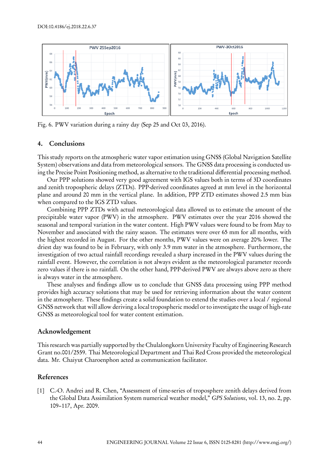

Fig. 6. PWV variation during a rainy day (Sep 25 and Oct 03, 2016).

#### **4. Conclusions**

This study reports on the atmospheric water vapor estimation using GNSS (Global Navigation Satellite System) observations and data from meteorological sensors. The GNSS data processing is conducted using the Precise Point Positioning method, as alternative to the traditional differential processing method.

Our PPP solutions showed very good agreement with IGS values both in terms of 3D coordinates and zenith tropospheric delays (ZTDs). PPP-derived coordinates agreed at mm level in the horizontal plane and around 20 mm in the vertical plane. In addition, PPP ZTD estimates showed 2.5 mm bias when compared to the IGS ZTD values.

Combining PPP ZTDs with actual meteorological data allowed us to estimate the amount of the precipitable water vapor (PWV) in the atmosphere. PWV estimates over the year 2016 showed the seasonal and temporal variation in the water content. High PWV values were found to be from May to November and associated with the rainy season. The estimates were over 65 mm for all months, with the highest recorded in August. For the other months, PWV values were on average 20% lower. The driest day was found to be in February, with only 3.9 mm water in the atmosphere. Furthermore, the investigation of two actual rainfall recordings revealed a sharp increased in the PWV values during the rainfall event. However, the correlation is not always evident as the meteorological parameter records zero values if there is no rainfall. On the other hand, PPP-derived PWV are always above zero as there is always water in the atmosphere.

These analyses and findings allow us to conclude that GNSS data processing using PPP method provides high accuracy solutions that may be used for retrieving information about the water content in the atmosphere. These findings create a solid foundation to extend the studies over a local / regional GNSS network that will allow deriving a local tropospheric model or to investigate the usage of high-rate GNSS as meteorological tool for water content estimation.

#### **Acknowledgement**

This research was partially supported by the Chulalongkorn University Faculty of Engineering Research Grant no.001/2559. Thai Meteorological Department and Thai Red Cross provided the meteorological data. Mr. Chaiyut Charoenphon acted as communication facilitator.

#### **References**

[1] C.-O. Andrei and R. Chen, "Assessment of time-series of troposphere zenith delays derived from the Global Data Assimilation System numerical weather model," *GPS Solutions*, vol. 13, no. 2, pp. 109–117, Apr. 2009.